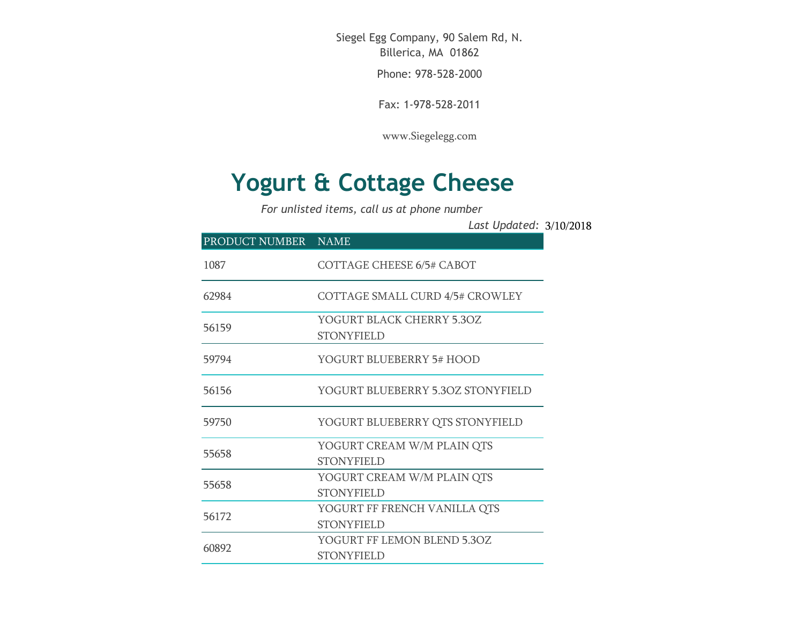Siegel Egg Company, 90 Salem Rd, N. Billerica, MA 01862

Phone: 978-528-2000

Fax: 1-978-528-2011

[www.Siegelegg.com](http://www.siegelegg.com/)

## **Yogurt & Cottage Cheese**

*For unlisted items, call us at phone number*

3/10/2018 *Last Updated:*

| PRODUCT NUMBER NAME |                                                   |
|---------------------|---------------------------------------------------|
| 1087                | <b>COTTAGE CHEESE 6/5# CABOT</b>                  |
| 62984               | COTTAGE SMALL CURD 4/5# CROWLEY                   |
| 56159               | YOGURT BLACK CHERRY 5.3OZ<br><b>STONYFIELD</b>    |
| 59794               | YOGURT BLUEBERRY 5# HOOD                          |
| 56156               | YOGURT BLUEBERRY 5.3OZ STONYFIELD                 |
| 59750               | YOGURT BLUEBERRY QTS STONYFIELD                   |
| 55658               | YOGURT CREAM W/M PLAIN QTS<br><b>STONYFIELD</b>   |
| 55658               | YOGURT CREAM W/M PLAIN QTS<br><b>STONYFIELD</b>   |
| 56172               | YOGURT FF FRENCH VANILLA QTS<br><b>STONYFIELD</b> |
| 60892               | YOGURT FF LEMON BLEND 5.30Z<br><b>STONYFIELD</b>  |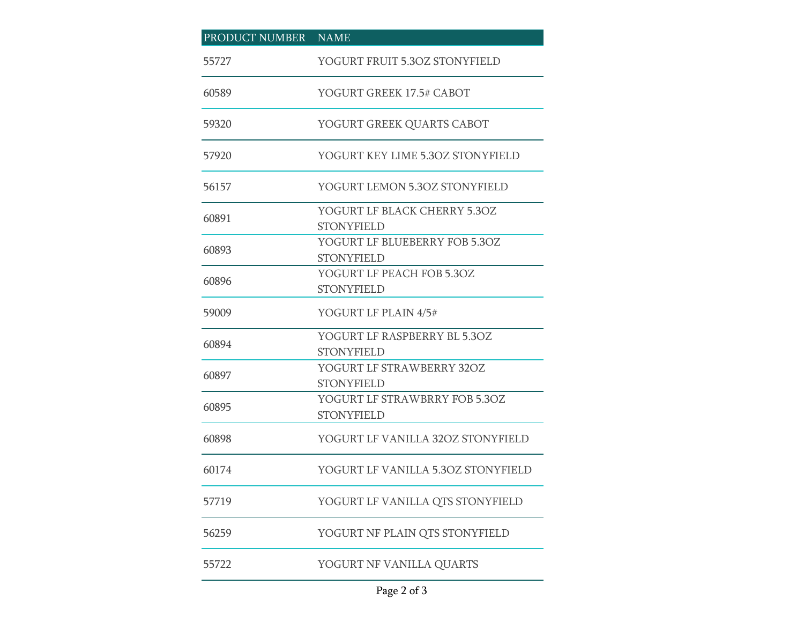| PRODUCT NUMBER | NAME                                               |
|----------------|----------------------------------------------------|
| 55727          | YOGURT FRUIT 5.3OZ STONYFIELD                      |
| 60589          | YOGURT GREEK 17.5# CABOT                           |
| 59320          | YOGURT GREEK QUARTS CABOT                          |
| 57920          | YOGURT KEY LIME 5.3OZ STONYFIELD                   |
| 56157          | YOGURT LEMON 5.30Z STONYFIELD                      |
| 60891          | YOGURT LF BLACK CHERRY 5.3OZ<br><b>STONYFIELD</b>  |
| 60893          | YOGURT LF BLUEBERRY FOB 5.3OZ<br><b>STONYFIELD</b> |
| 60896          | YOGURT LF PEACH FOB 5.3OZ<br><b>STONYFIELD</b>     |
| 59009          | YOGURT LF PLAIN 4/5#                               |
| 60894          | YOGURT LF RASPBERRY BL 5.3OZ<br><b>STONYFIELD</b>  |
| 60897          | YOGURT LF STRAWBERRY 32OZ<br><b>STONYFIELD</b>     |
| 60895          | YOGURT LF STRAWBRRY FOB 5.3OZ<br><b>STONYFIELD</b> |
| 60898          | YOGURT LF VANILLA 32OZ STONYFIELD                  |
| 60174          | YOGURT LF VANILLA 5.30Z STONYFIELD                 |
| 57719          | YOGURT LF VANILLA QTS STONYFIELD                   |
| 56259          | YOGURT NF PLAIN QTS STONYFIELD                     |
| 55722          | YOGURT NF VANILLA QUARTS                           |

## Page 2 of 3